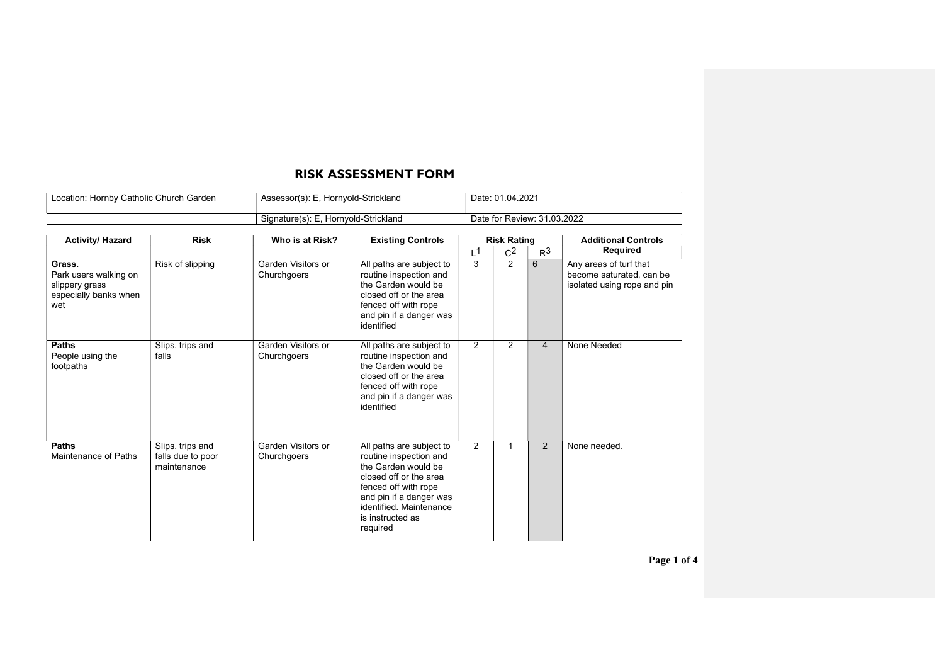## RISK ASSESSMENT FORM

| Location: Hornby Catholic Church Garden | Assessor(s): E, Hornyold-Strickland  | Date: 01.04.2021            |
|-----------------------------------------|--------------------------------------|-----------------------------|
|                                         | Signature(s): E, Hornyold-Strickland | Date for Review: 31.03.2022 |
|                                         |                                      |                             |

| <b>Activity/ Hazard</b>                                                           | <b>Risk</b>                                          | Who is at Risk?                   | <b>Existing Controls</b>                                                                                                                                                                                          | <b>Risk Rating</b> |                |                | <b>Additional Controls</b>                                                        |
|-----------------------------------------------------------------------------------|------------------------------------------------------|-----------------------------------|-------------------------------------------------------------------------------------------------------------------------------------------------------------------------------------------------------------------|--------------------|----------------|----------------|-----------------------------------------------------------------------------------|
|                                                                                   |                                                      |                                   |                                                                                                                                                                                                                   | L <sup>1</sup>     | C <sup>2</sup> | R <sup>3</sup> | Required                                                                          |
| Grass.<br>Park users walking on<br>slippery grass<br>especially banks when<br>wet | Risk of slipping                                     | Garden Visitors or<br>Churchgoers | All paths are subject to<br>routine inspection and<br>the Garden would be<br>closed off or the area<br>fenced off with rope<br>and pin if a danger was<br>identified                                              | 3                  | $\overline{2}$ | 6              | Any areas of turf that<br>become saturated, can be<br>isolated using rope and pin |
| <b>Paths</b><br>People using the<br>footpaths                                     | Slips, trips and<br>falls                            | Garden Visitors or<br>Churchgoers | All paths are subject to<br>routine inspection and<br>the Garden would be<br>closed off or the area<br>fenced off with rope<br>and pin if a danger was<br>identified                                              | 2                  | 2              | $\overline{4}$ | None Needed                                                                       |
| <b>Paths</b><br>Maintenance of Paths                                              | Slips, trips and<br>falls due to poor<br>maintenance | Garden Visitors or<br>Churchgoers | All paths are subject to<br>routine inspection and<br>the Garden would be<br>closed off or the area<br>fenced off with rope<br>and pin if a danger was<br>identified. Maintenance<br>is instructed as<br>required | 2                  | 1              | 2              | None needed.                                                                      |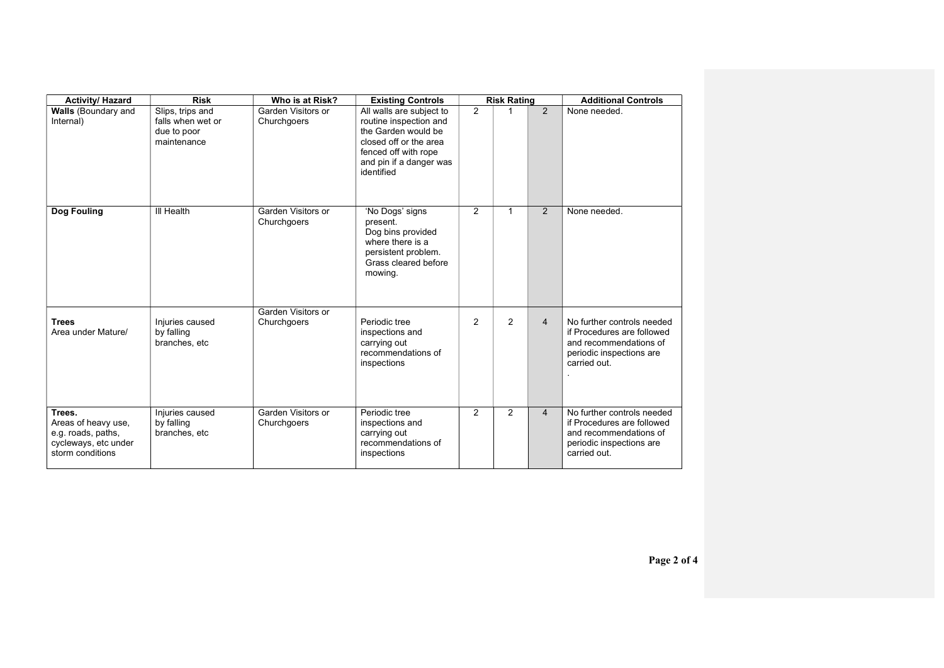| <b>Activity/ Hazard</b>                                                                         | <b>Risk</b>                                                         | Who is at Risk?                   | <b>Existing Controls</b>                                                                                                                                             | <b>Risk Rating</b> |                |                | <b>Additional Controls</b>                                                                                                     |
|-------------------------------------------------------------------------------------------------|---------------------------------------------------------------------|-----------------------------------|----------------------------------------------------------------------------------------------------------------------------------------------------------------------|--------------------|----------------|----------------|--------------------------------------------------------------------------------------------------------------------------------|
| <b>Walls</b> (Boundary and<br>Internal)                                                         | Slips, trips and<br>falls when wet or<br>due to poor<br>maintenance | Garden Visitors or<br>Churchgoers | All walls are subject to<br>routine inspection and<br>the Garden would be<br>closed off or the area<br>fenced off with rope<br>and pin if a danger was<br>identified | 2                  |                | $\mathcal{P}$  | None needed.                                                                                                                   |
| Dog Fouling                                                                                     | III Health                                                          | Garden Visitors or<br>Churchgoers | 'No Dogs' signs<br>present.<br>Dog bins provided<br>where there is a<br>persistent problem.<br>Grass cleared before<br>mowing.                                       | 2                  | 1              | 2              | None needed.                                                                                                                   |
| <b>Trees</b><br>Area under Mature/                                                              | Injuries caused<br>by falling<br>branches, etc                      | Garden Visitors or<br>Churchgoers | Periodic tree<br>inspections and<br>carrying out<br>recommendations of<br>inspections                                                                                | 2                  | $\overline{2}$ | $\overline{4}$ | No further controls needed<br>if Procedures are followed<br>and recommendations of<br>periodic inspections are<br>carried out. |
| Trees.<br>Areas of heavy use,<br>e.g. roads, paths,<br>cycleways, etc under<br>storm conditions | Injuries caused<br>by falling<br>branches, etc                      | Garden Visitors or<br>Churchgoers | Periodic tree<br>inspections and<br>carrying out<br>recommendations of<br>inspections                                                                                | $\overline{2}$     | $\overline{2}$ | 4              | No further controls needed<br>if Procedures are followed<br>and recommendations of<br>periodic inspections are<br>carried out. |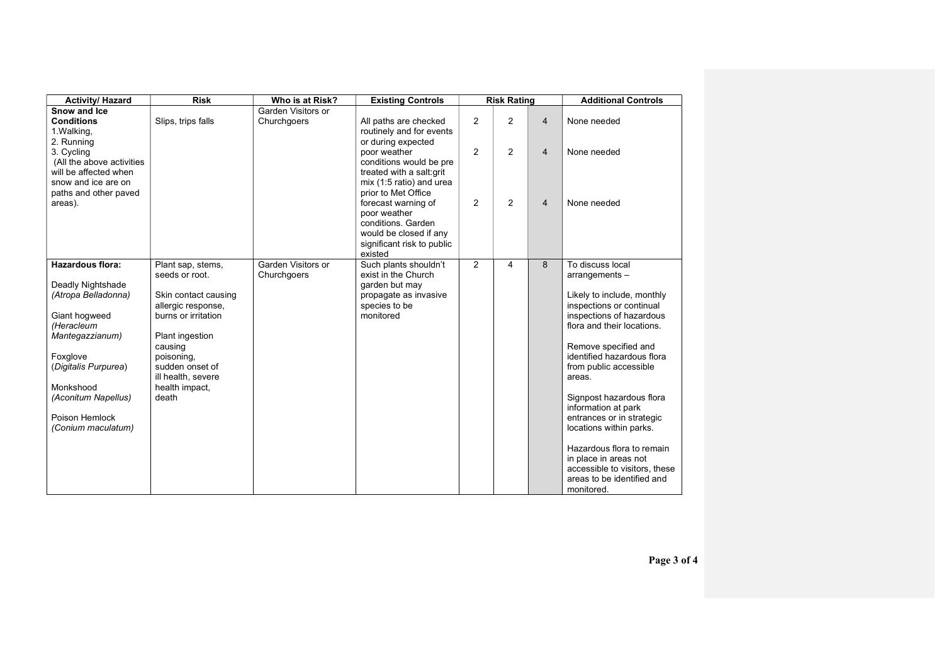| <b>Activity/ Hazard</b>                                                                                                                                                                                                               | <b>Risk</b>                                                                                                                                                                                                              | Who is at Risk?                   | <b>Existing Controls</b>                                                                                                                                                                                                                                | <b>Risk Rating</b> |                |                                  | <b>Additional Controls</b>                                                                                                                                                                                                                                                                                                                                                                                                                                                                    |
|---------------------------------------------------------------------------------------------------------------------------------------------------------------------------------------------------------------------------------------|--------------------------------------------------------------------------------------------------------------------------------------------------------------------------------------------------------------------------|-----------------------------------|---------------------------------------------------------------------------------------------------------------------------------------------------------------------------------------------------------------------------------------------------------|--------------------|----------------|----------------------------------|-----------------------------------------------------------------------------------------------------------------------------------------------------------------------------------------------------------------------------------------------------------------------------------------------------------------------------------------------------------------------------------------------------------------------------------------------------------------------------------------------|
| Snow and Ice<br><b>Conditions</b><br>1. Walking,<br>2. Running                                                                                                                                                                        | Slips, trips falls                                                                                                                                                                                                       | Garden Visitors or<br>Churchgoers | All paths are checked<br>routinely and for events<br>or during expected                                                                                                                                                                                 | 2                  | $\overline{2}$ | $\overline{4}$                   | None needed                                                                                                                                                                                                                                                                                                                                                                                                                                                                                   |
| 3. Cycling<br>(All the above activities<br>will be affected when<br>snow and ice are on<br>paths and other paved<br>areas).                                                                                                           |                                                                                                                                                                                                                          |                                   | poor weather<br>conditions would be pre<br>treated with a salt: grit<br>mix (1:5 ratio) and urea<br>prior to Met Office<br>forecast warning of<br>poor weather<br>conditions. Garden<br>would be closed if any<br>significant risk to public<br>existed | 2<br>2             | 2<br>2         | $\overline{4}$<br>$\overline{4}$ | None needed<br>None needed                                                                                                                                                                                                                                                                                                                                                                                                                                                                    |
| <b>Hazardous flora:</b><br>Deadly Nightshade<br>(Atropa Belladonna)<br>Giant hogweed<br>(Heracleum<br>Mantegazzianum)<br>Foxglove<br>(Digitalis Purpurea)<br>Monkshood<br>(Aconitum Napellus)<br>Poison Hemlock<br>(Conium maculatum) | Plant sap, stems,<br>seeds or root.<br>Skin contact causing<br>allergic response,<br>burns or irritation<br>Plant ingestion<br>causing<br>poisoning,<br>sudden onset of<br>ill health, severe<br>health impact,<br>death | Garden Visitors or<br>Churchgoers | Such plants shouldn't<br>exist in the Church<br>garden but may<br>propagate as invasive<br>species to be<br>monitored                                                                                                                                   | 2                  | 4              | 8                                | To discuss local<br>arrangements-<br>Likely to include, monthly<br>inspections or continual<br>inspections of hazardous<br>flora and their locations.<br>Remove specified and<br>identified hazardous flora<br>from public accessible<br>areas.<br>Signpost hazardous flora<br>information at park<br>entrances or in strategic<br>locations within parks.<br>Hazardous flora to remain<br>in place in areas not<br>accessible to visitors, these<br>areas to be identified and<br>monitored. |